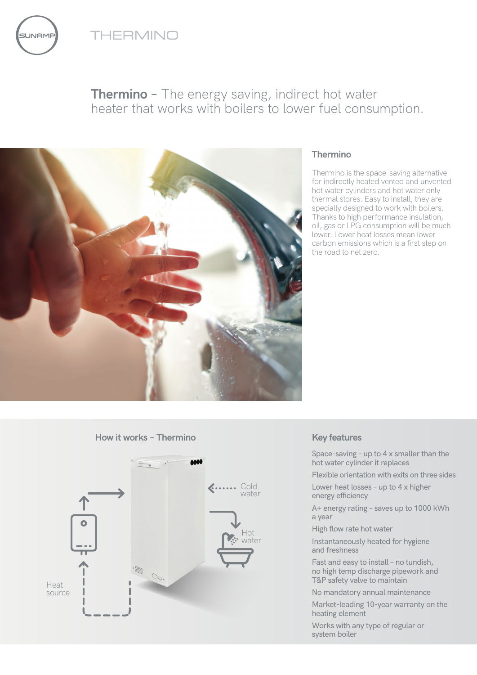

**JNAME** 





## **Thermino**

Thermino is the space-saving alternative for indirectly heated vented and unvented hot water cylinders and hot water only thermal stores. Easy to install, they are specially designed to work with boilers. Thanks to high performance insulation, oil, gas or LPG consumption will be much lower. Lower heat losses mean lower carbon emissions which is a first step on the road to net zero.

**How it works – Thermino**



### **Key features**

Space-saving – up to 4 x smaller than the hot water cylinder it replaces

Flexible orientation with exits on three sides

Lower heat losses – up to 4 x higher energy efficiency

A+ energy rating – saves up to 1000 kWh a year

High flow rate hot water

Instantaneously heated for hygiene and freshness

Fast and easy to install – no tundish, no high temp discharge pipework and T&P safety valve to maintain

No mandatory annual maintenance

Market-leading 10-year warranty on the heating element

Works with any type of regular or system boiler